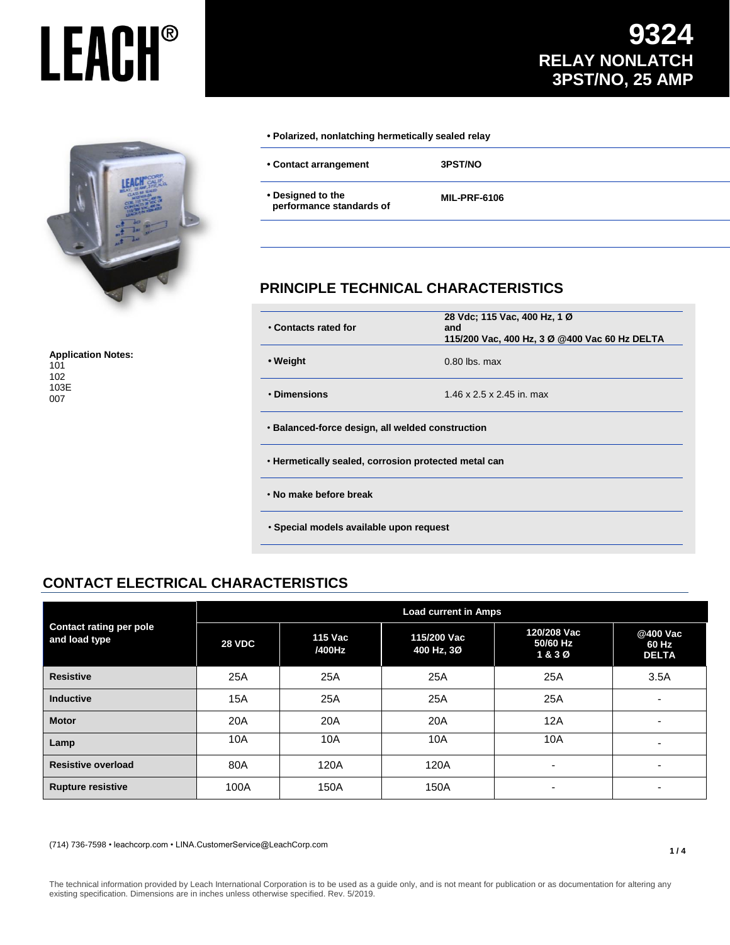## **LEACH®**



**Application Notes:** 101 102 103E 007

#### **• Polarized, nonlatching hermetically sealed relay**

**• Contact arrangement 3PST/NO**

**• Designed to the performance standards of**

**MIL-PRF-6106**

#### **PRINCIPLE TECHNICAL CHARACTERISTICS**

| • Contacts rated for                                 | 28 Vdc; 115 Vac, 400 Hz, 1 Ø<br>and<br>115/200 Vac, 400 Hz, 3 Ø @400 Vac 60 Hz DELTA |  |  |  |
|------------------------------------------------------|--------------------------------------------------------------------------------------|--|--|--|
| • Weight                                             | $0.80$ lbs. max                                                                      |  |  |  |
| • Dimensions                                         | 1.46 x 2.5 x 2.45 in. max                                                            |  |  |  |
| • Balanced-force design, all welded construction     |                                                                                      |  |  |  |
| . Hermetically sealed, corrosion protected metal can |                                                                                      |  |  |  |
| . No make before break                               |                                                                                      |  |  |  |
| • Special models available upon request              |                                                                                      |  |  |  |

#### **CONTACT ELECTRICAL CHARACTERISTICS**

| <b>Contact rating per pole</b><br>and load type | <b>Load current in Amps</b> |                   |                           |                                 |                                   |  |
|-------------------------------------------------|-----------------------------|-------------------|---------------------------|---------------------------------|-----------------------------------|--|
|                                                 | <b>28 VDC</b>               | 115 Vac<br>/400Hz | 115/200 Vac<br>400 Hz, 3Ø | 120/208 Vac<br>50/60 Hz<br>1&3Ø | @400 Vac<br>60 Hz<br><b>DELTA</b> |  |
| <b>Resistive</b>                                | 25A                         | 25A               | 25A                       | 25A                             | 3.5A                              |  |
| <b>Inductive</b>                                | 15A                         | 25A               | 25A                       | 25A                             | $\overline{\phantom{0}}$          |  |
| <b>Motor</b>                                    | 20A                         | 20A               | 20A                       | 12A                             | $\overline{\phantom{0}}$          |  |
| Lamp                                            | 10A                         | 10A               | 10A                       | 10A                             | $\overline{\phantom{0}}$          |  |
| <b>Resistive overload</b>                       | 80A                         | 120A              | 120A                      | ۰                               | $\overline{\phantom{0}}$          |  |
| <b>Rupture resistive</b>                        | 100A                        | 150A              | 150A                      | -                               | -                                 |  |

(714) 736-7598 • leachcorp.com • LINA.CustomerService@LeachCorp.com

The technical information provided by Leach International Corporation is to be used as a guide only, and is not meant for publication or as documentation for altering any existing specification. Dimensions are in inches unless otherwise specified. Rev. 5/2019.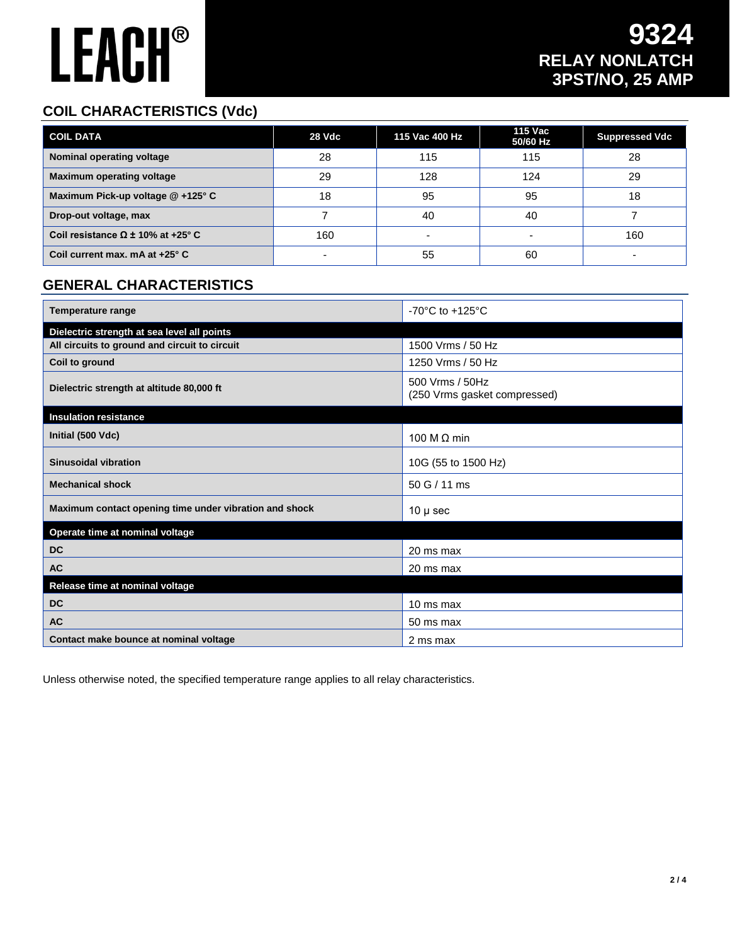# **LEACH®**

#### **COIL CHARACTERISTICS (Vdc)**

| <b>COIL DATA</b>                         | 28 Vdc | 115 Vac 400 Hz | 115 Vac<br>50/60 Hz | <b>Suppressed Vdc</b> |
|------------------------------------------|--------|----------------|---------------------|-----------------------|
| Nominal operating voltage                | 28     | 115            | 115                 | 28                    |
| <b>Maximum operating voltage</b>         | 29     | 128            | 124                 | 29                    |
| Maximum Pick-up voltage @ +125° C        | 18     | 95             | 95                  | 18                    |
| Drop-out voltage, max                    |        | 40             | 40                  |                       |
| Coil resistance $\Omega$ ± 10% at +25° C | 160    |                |                     | 160                   |
| Coil current max. mA at +25° C           |        | 55             | 60                  |                       |

#### **GENERAL CHARACTERISTICS**

| <b>Temperature range</b>                               | -70 $^{\circ}$ C to +125 $^{\circ}$ C           |  |  |
|--------------------------------------------------------|-------------------------------------------------|--|--|
| Dielectric strength at sea level all points            |                                                 |  |  |
| All circuits to ground and circuit to circuit          | 1500 Vrms / 50 Hz                               |  |  |
| Coil to ground                                         | 1250 Vrms / 50 Hz                               |  |  |
| Dielectric strength at altitude 80,000 ft              | 500 Vrms / 50Hz<br>(250 Vrms gasket compressed) |  |  |
| <b>Insulation resistance</b>                           |                                                 |  |  |
| Initial (500 Vdc)                                      | 100 M $\Omega$ min                              |  |  |
| <b>Sinusoidal vibration</b>                            | 10G (55 to 1500 Hz)                             |  |  |
| <b>Mechanical shock</b>                                | 50 G / 11 ms                                    |  |  |
| Maximum contact opening time under vibration and shock | $10 \mu$ sec                                    |  |  |
| Operate time at nominal voltage                        |                                                 |  |  |
| <b>DC</b>                                              | 20 ms max                                       |  |  |
| <b>AC</b>                                              | 20 ms max                                       |  |  |
| Release time at nominal voltage                        |                                                 |  |  |
| <b>DC</b>                                              | 10 ms max                                       |  |  |
| <b>AC</b>                                              | 50 ms max                                       |  |  |
| Contact make bounce at nominal voltage                 | 2 ms max                                        |  |  |

Unless otherwise noted, the specified temperature range applies to all relay characteristics.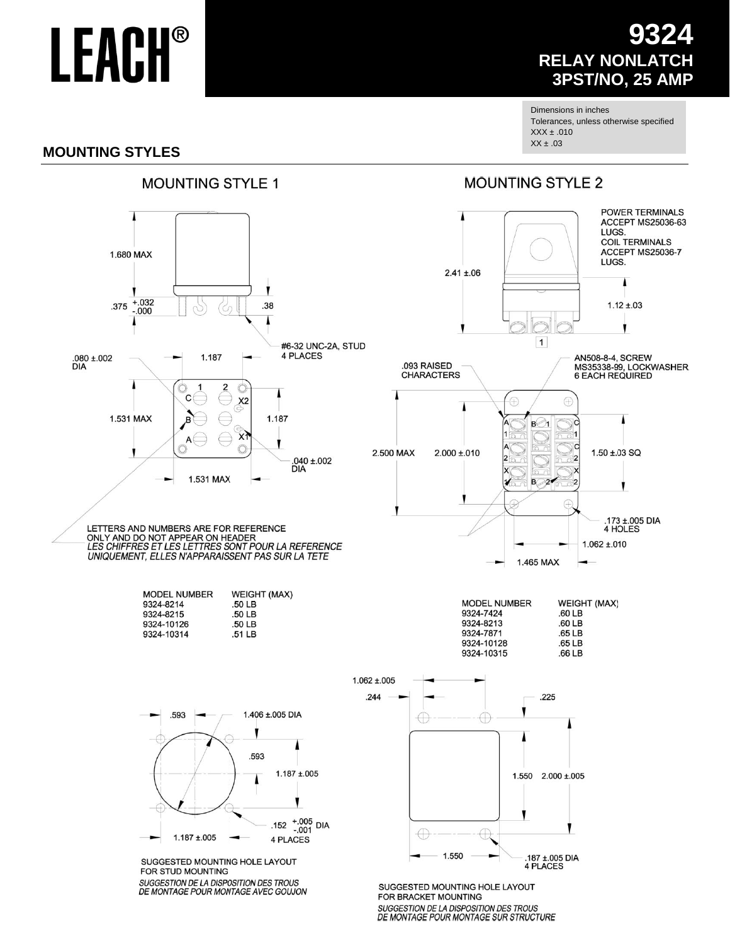## **LEACH®**

### **9324 RELAY NONLATCH 3PST/NO, 25 AMP**

Dimensions in inches Tolerances, unless otherwise specified  $XXX \pm .010$  $XX \pm .03$ 

#### **MOUNTING STYLES**

#### **MOUNTING STYLE 1**



### **MOUNTING STYLE 2**



LETTERS AND NUMBERS ARE FOR REFERENCE<br>ONLY AND DO NOT APPEAR ON HEADER<br>LES CHIFFRES ET LES LETTRES SONT POUR LA REFERENCE UNIQUEMENT, ELLES N'APPARAISSENT PAS SUR LA TETE

| <b>MODEL NUMBER</b> | <b>WEIGHT (MAX)</b> |
|---------------------|---------------------|
| 9324-8214           | .50 <sub>LB</sub>   |
| 9324-8215           | .50 <sub>LB</sub>   |
| 9324-10126          | .50 <sub>LB</sub>   |
| 9324-10314          | $.51 \text{ LB}$    |



SUGGESTED MOUNTING HOLE LAYOUT FOR STUD MOUNTING **SUGGESTION DE LA DISPOSITION DES TROUS** DE MONTAGE POUR MONTAGE AVEC GOUJON



SUGGESTED MOUNTING HOLE LAYOUT FOR BRACKET MOUNTING **SUGGESTION DE LA DISPOSITION DES TROUS** DE MONTAGE POUR MONTAGE SUR STRUCTURE